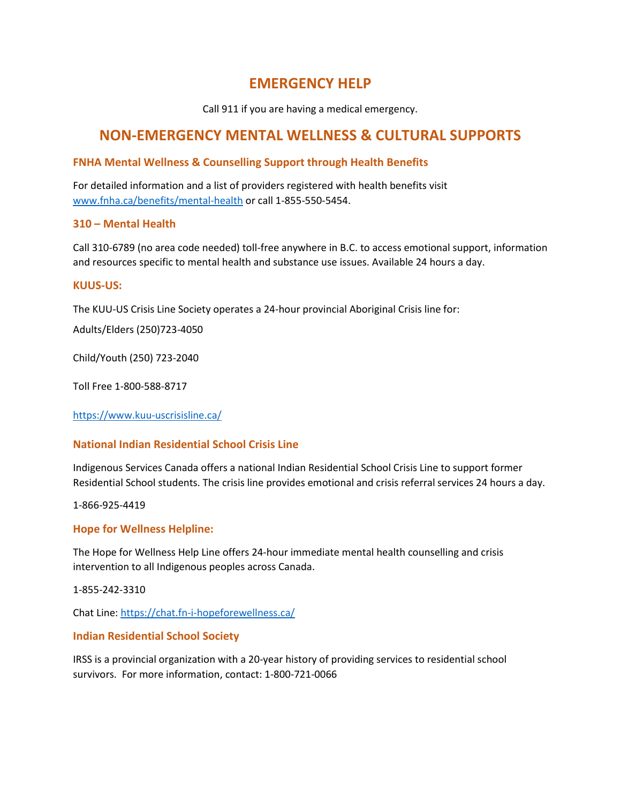# **EMERGENCY HELP**

Call 911 if you are having a medical emergency.

# **NON-EMERGENCY MENTAL WELLNESS & CULTURAL SUPPORTS**

# **FNHA Mental Wellness & Counselling Support through Health Benefits**

For detailed information and a list of providers registered with health benefits visit [www.fnha.ca/benefits/mental-health](http://www.fnha.ca/benefits/mental-health) or call 1-855-550-5454.

# **310 – Mental Health**

Call 310-6789 (no area code needed) toll-free anywhere in B.C. to access emotional support, information and resources specific to mental health and substance use issues. Available 24 hours a day.

## **KUUS-US:**

The KUU-US Crisis Line Society operates a 24-hour provincial Aboriginal Crisis line for:

Adults/Elders (250)723-4050

Child/Youth (250) 723-2040

Toll Free 1-800-588-8717

<https://www.kuu-uscrisisline.ca/>

# **National Indian Residential School Crisis Line**

Indigenous Services Canada offers a national Indian Residential School Crisis Line to support former Residential School students. The crisis line provides emotional and crisis referral services 24 hours a day.

1-866-925-4419

## **Hope for Wellness Helpline:**

The Hope for Wellness Help Line offers 24-hour immediate mental health counselling and crisis intervention to all Indigenous peoples across Canada.

1-855-242-3310

Chat Line:<https://chat.fn-i-hopeforewellness.ca/>

## **Indian Residential School Society**

IRSS is a provincial organization with a 20-year history of providing services to residential school survivors. For more information, contact: 1-800-721-0066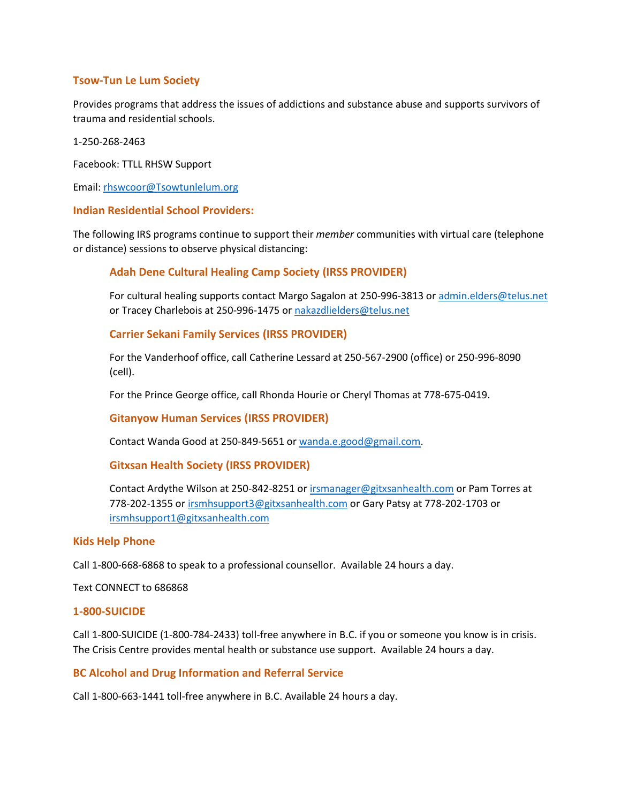## **Tsow-Tun Le Lum Society**

Provides programs that address the issues of addictions and substance abuse and supports survivors of trauma and residential schools.

1-250-268-2463

Facebook: TTLL RHSW Support

Email: [rhswcoor@Tsowtunlelum.org](mailto:rhswcoor@Tsowtunlelum.org)

## **Indian Residential School Providers:**

The following IRS programs continue to support their *member* communities with virtual care (telephone or distance) sessions to observe physical distancing:

## **Adah Dene Cultural Healing Camp Society (IRSS PROVIDER)**

For cultural healing supports contact Margo Sagalon at 250-996-3813 o[r admin.elders@telus.net](mailto:admin.elders@telus.net) or Tracey Charlebois at 250-996-1475 o[r nakazdlielders@telus.net](mailto:nakazdlielders@telus.net)

**Carrier Sekani Family Services (IRSS PROVIDER)**

For the Vanderhoof office, call Catherine Lessard at 250-567-2900 (office) or 250-996-8090 (cell).

For the Prince George office, call Rhonda Hourie or Cheryl Thomas at 778-675-0419.

**Gitanyow Human Services (IRSS PROVIDER)**

Contact Wanda Good at 250-849-5651 or [wanda.e.good@gmail.com.](mailto:wanda.e.good@gmail.com)

#### **Gitxsan Health Society (IRSS PROVIDER)**

Contact Ardythe Wilson at 250-842-8251 o[r irsmanager@gitxsanhealth.com](mailto:irsmanager@gitxsanhealth.com) or Pam Torres at 778-202-1355 or [irsmhsupport3@gitxsanhealth.com](mailto:irsmhsupport3@gitxsanhealth.com) or Gary Patsy at 778-202-1703 or [irsmhsupport1@gitxsanhealth.com](mailto:irsmhsupport1@gitxsanhealth.com)

## **Kids Help Phone**

Call 1-800-668-6868 to speak to a professional counsellor. Available 24 hours a day.

Text CONNECT to 686868

#### **1-800-SUICIDE**

Call 1-800-SUICIDE (1-800-784-2433) toll-free anywhere in B.C. if you or someone you know is in crisis. The Crisis Centre provides mental health or substance use support. Available 24 hours a day.

## **BC Alcohol and Drug Information and Referral Service**

Call 1-800-663-1441 toll-free anywhere in B.C. Available 24 hours a day.